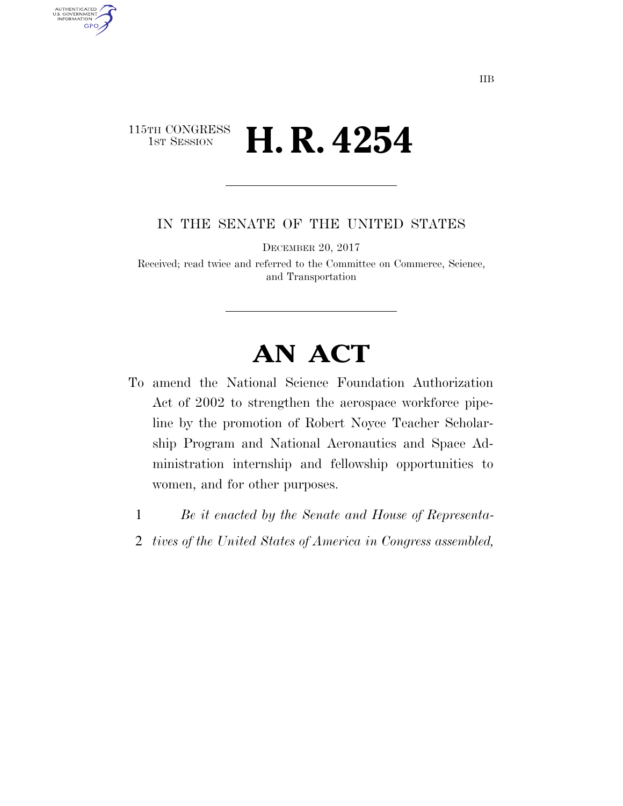### 115TH CONGRESS <sup>TH CONGRESS</sup> **H. R. 4254**

AUTHENTICATED<br>U.S. GOVERNMENT<br>INFORMATION

GPO

IN THE SENATE OF THE UNITED STATES

DECEMBER 20, 2017

Received; read twice and referred to the Committee on Commerce, Science, and Transportation

# **AN ACT**

- To amend the National Science Foundation Authorization Act of 2002 to strengthen the aerospace workforce pipeline by the promotion of Robert Noyce Teacher Scholarship Program and National Aeronautics and Space Administration internship and fellowship opportunities to women, and for other purposes.
	- 1 *Be it enacted by the Senate and House of Representa-*
	- 2 *tives of the United States of America in Congress assembled,*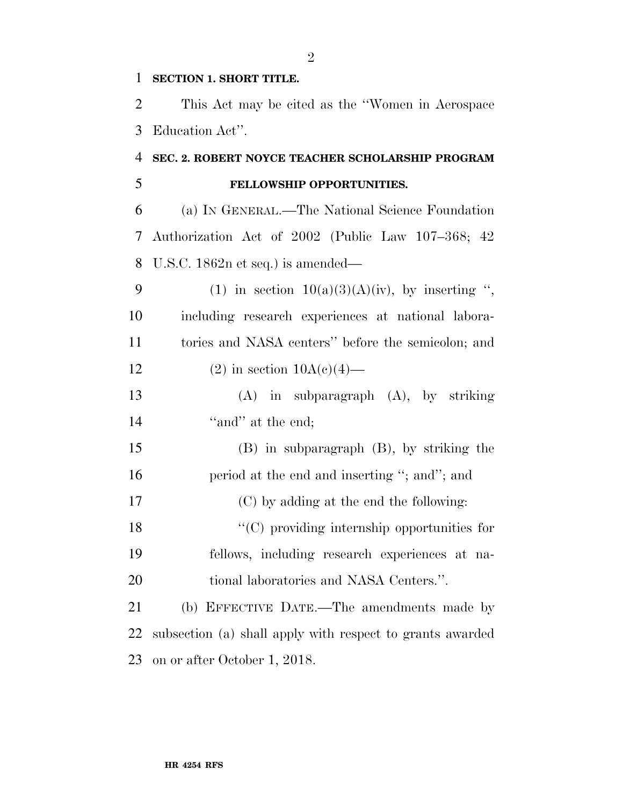#### **SECTION 1. SHORT TITLE.**

 This Act may be cited as the ''Women in Aerospace Education Act''.

## **SEC. 2. ROBERT NOYCE TEACHER SCHOLARSHIP PROGRAM**

### **FELLOWSHIP OPPORTUNITIES.**

 (a) IN GENERAL.—The National Science Foundation Authorization Act of 2002 (Public Law 107–368; 42 U.S.C. 1862n et seq.) is amended—

9 (1) in section  $10(a)(3)(A)(iv)$ , by inserting ", including research experiences at national labora- tories and NASA centers'' before the semicolon; and 12 (2) in section  $10A(c)(4)$ —

 (A) in subparagraph (A), by striking 14 ''and'' at the end;

 (B) in subparagraph (B), by striking the 16 period at the end and inserting "; and"; and (C) by adding at the end the following: ''(C) providing internship opportunities for fellows, including research experiences at na-tional laboratories and NASA Centers.''.

 (b) EFFECTIVE DATE.—The amendments made by subsection (a) shall apply with respect to grants awarded on or after October 1, 2018.